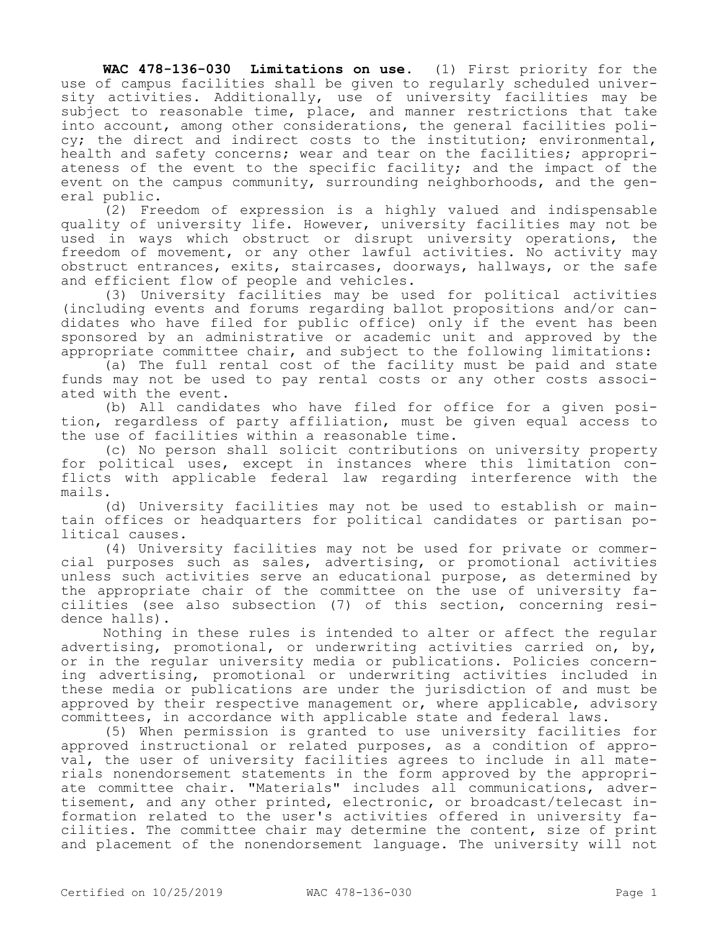**WAC 478-136-030 Limitations on use.** (1) First priority for the use of campus facilities shall be given to regularly scheduled university activities. Additionally, use of university facilities may be subject to reasonable time, place, and manner restrictions that take into account, among other considerations, the general facilities policy; the direct and indirect costs to the institution; environmental, health and safety concerns; wear and tear on the facilities; appropriateness of the event to the specific facility; and the impact of the event on the campus community, surrounding neighborhoods, and the general public.

(2) Freedom of expression is a highly valued and indispensable quality of university life. However, university facilities may not be used in ways which obstruct or disrupt university operations, the freedom of movement, or any other lawful activities. No activity may obstruct entrances, exits, staircases, doorways, hallways, or the safe and efficient flow of people and vehicles.

(3) University facilities may be used for political activities (including events and forums regarding ballot propositions and/or candidates who have filed for public office) only if the event has been sponsored by an administrative or academic unit and approved by the appropriate committee chair, and subject to the following limitations:

(a) The full rental cost of the facility must be paid and state funds may not be used to pay rental costs or any other costs associated with the event.

(b) All candidates who have filed for office for a given position, regardless of party affiliation, must be given equal access to the use of facilities within a reasonable time.

(c) No person shall solicit contributions on university property for political uses, except in instances where this limitation conflicts with applicable federal law regarding interference with the mails.

(d) University facilities may not be used to establish or maintain offices or headquarters for political candidates or partisan political causes.

(4) University facilities may not be used for private or commercial purposes such as sales, advertising, or promotional activities unless such activities serve an educational purpose, as determined by the appropriate chair of the committee on the use of university facilities (see also subsection (7) of this section, concerning residence halls).

Nothing in these rules is intended to alter or affect the regular advertising, promotional, or underwriting activities carried on, by, or in the regular university media or publications. Policies concerning advertising, promotional or underwriting activities included in these media or publications are under the jurisdiction of and must be approved by their respective management or, where applicable, advisory committees, in accordance with applicable state and federal laws.

(5) When permission is granted to use university facilities for approved instructional or related purposes, as a condition of approval, the user of university facilities agrees to include in all materials nonendorsement statements in the form approved by the appropriate committee chair. "Materials" includes all communications, advertisement, and any other printed, electronic, or broadcast/telecast information related to the user's activities offered in university facilities. The committee chair may determine the content, size of print and placement of the nonendorsement language. The university will not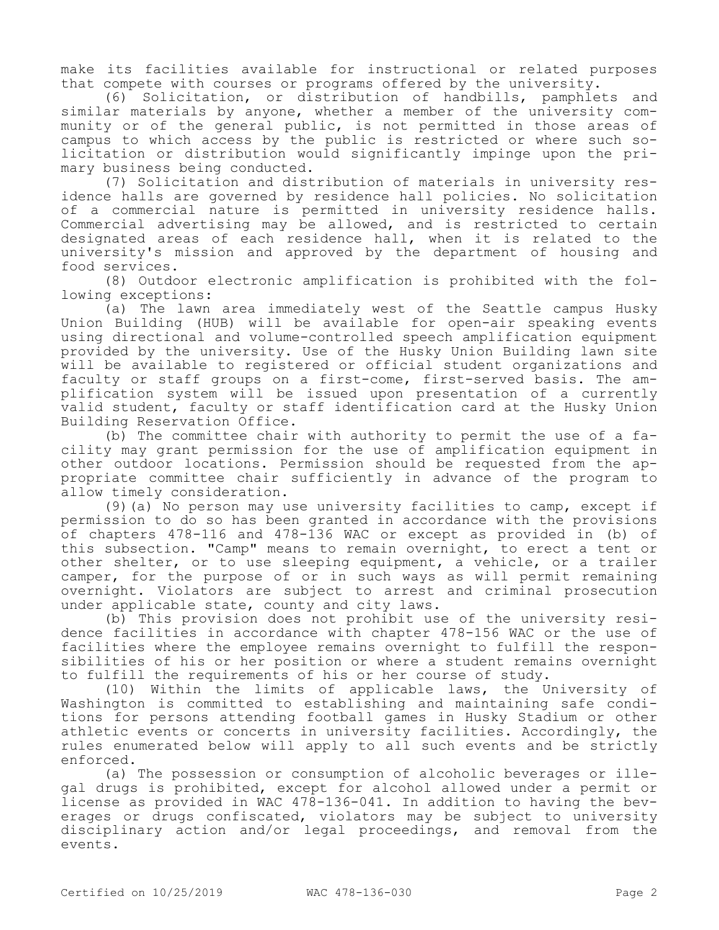make its facilities available for instructional or related purposes that compete with courses or programs offered by the university.

(6) Solicitation, or distribution of handbills, pamphlets and similar materials by anyone, whether a member of the university community or of the general public, is not permitted in those areas of campus to which access by the public is restricted or where such solicitation or distribution would significantly impinge upon the primary business being conducted.

(7) Solicitation and distribution of materials in university residence halls are governed by residence hall policies. No solicitation of a commercial nature is permitted in university residence halls. Commercial advertising may be allowed, and is restricted to certain designated areas of each residence hall, when it is related to the university's mission and approved by the department of housing and food services.

(8) Outdoor electronic amplification is prohibited with the following exceptions:

(a) The lawn area immediately west of the Seattle campus Husky Union Building (HUB) will be available for open-air speaking events using directional and volume-controlled speech amplification equipment provided by the university. Use of the Husky Union Building lawn site will be available to registered or official student organizations and faculty or staff groups on a first-come, first-served basis. The amplification system will be issued upon presentation of a currently valid student, faculty or staff identification card at the Husky Union Building Reservation Office.

(b) The committee chair with authority to permit the use of a facility may grant permission for the use of amplification equipment in other outdoor locations. Permission should be requested from the appropriate committee chair sufficiently in advance of the program to allow timely consideration.

(9)(a) No person may use university facilities to camp, except if permission to do so has been granted in accordance with the provisions of chapters 478-116 and 478-136 WAC or except as provided in (b) of this subsection. "Camp" means to remain overnight, to erect a tent or other shelter, or to use sleeping equipment, a vehicle, or a trailer camper, for the purpose of or in such ways as will permit remaining overnight. Violators are subject to arrest and criminal prosecution under applicable state, county and city laws.

(b) This provision does not prohibit use of the university residence facilities in accordance with chapter 478-156 WAC or the use of facilities where the employee remains overnight to fulfill the responsibilities of his or her position or where a student remains overnight to fulfill the requirements of his or her course of study.

(10) Within the limits of applicable laws, the University of Washington is committed to establishing and maintaining safe conditions for persons attending football games in Husky Stadium or other athletic events or concerts in university facilities. Accordingly, the rules enumerated below will apply to all such events and be strictly enforced.

(a) The possession or consumption of alcoholic beverages or illegal drugs is prohibited, except for alcohol allowed under a permit or license as provided in WAC 478-136-041. In addition to having the beverages or drugs confiscated, violators may be subject to university disciplinary action and/or legal proceedings, and removal from the events.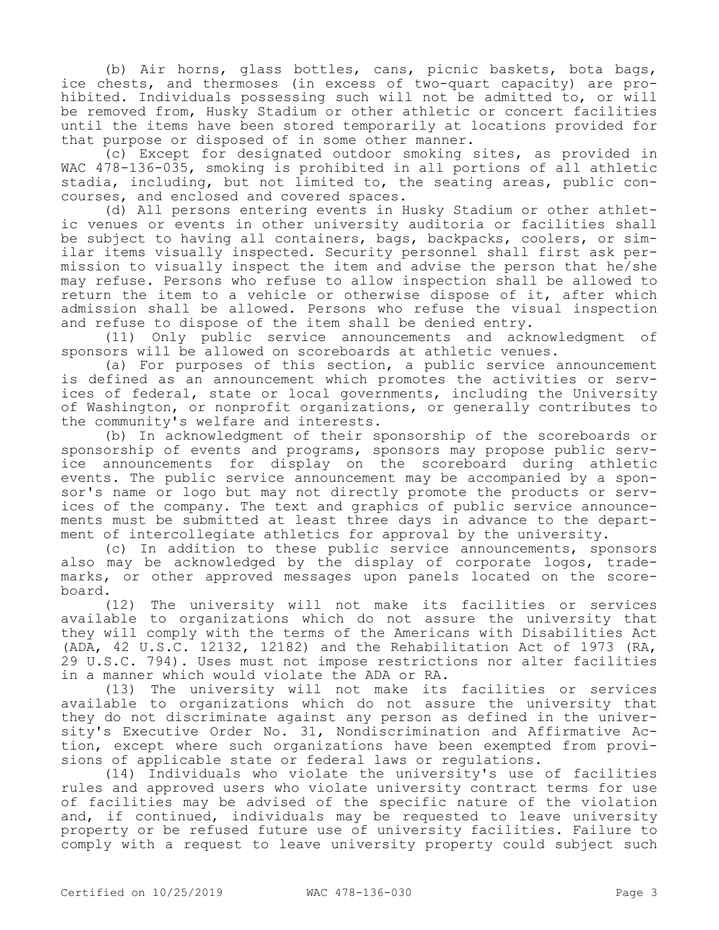(b) Air horns, glass bottles, cans, picnic baskets, bota bags, ice chests, and thermoses (in excess of two-quart capacity) are prohibited. Individuals possessing such will not be admitted to, or will be removed from, Husky Stadium or other athletic or concert facilities until the items have been stored temporarily at locations provided for that purpose or disposed of in some other manner.

(c) Except for designated outdoor smoking sites, as provided in WAC 478-136-035, smoking is prohibited in all portions of all athletic stadia, including, but not limited to, the seating areas, public concourses, and enclosed and covered spaces.

(d) All persons entering events in Husky Stadium or other athletic venues or events in other university auditoria or facilities shall be subject to having all containers, bags, backpacks, coolers, or similar items visually inspected. Security personnel shall first ask permission to visually inspect the item and advise the person that he/she may refuse. Persons who refuse to allow inspection shall be allowed to return the item to a vehicle or otherwise dispose of it, after which admission shall be allowed. Persons who refuse the visual inspection and refuse to dispose of the item shall be denied entry.

(11) Only public service announcements and acknowledgment of sponsors will be allowed on scoreboards at athletic venues.

(a) For purposes of this section, a public service announcement is defined as an announcement which promotes the activities or services of federal, state or local governments, including the University of Washington, or nonprofit organizations, or generally contributes to the community's welfare and interests.

(b) In acknowledgment of their sponsorship of the scoreboards or sponsorship of events and programs, sponsors may propose public service announcements for display on the scoreboard during athletic events. The public service announcement may be accompanied by a sponsor's name or logo but may not directly promote the products or services of the company. The text and graphics of public service announcements must be submitted at least three days in advance to the department of intercollegiate athletics for approval by the university.

(c) In addition to these public service announcements, sponsors also may be acknowledged by the display of corporate logos, trademarks, or other approved messages upon panels located on the scoreboard.

(12) The university will not make its facilities or services available to organizations which do not assure the university that they will comply with the terms of the Americans with Disabilities Act (ADA, 42 U.S.C. 12132, 12182) and the Rehabilitation Act of 1973 (RA, 29 U.S.C. 794). Uses must not impose restrictions nor alter facilities in a manner which would violate the ADA or RA.

(13) The university will not make its facilities or services available to organizations which do not assure the university that they do not discriminate against any person as defined in the university's Executive Order No. 31, Nondiscrimination and Affirmative Action, except where such organizations have been exempted from provisions of applicable state or federal laws or regulations.

(14) Individuals who violate the university's use of facilities rules and approved users who violate university contract terms for use of facilities may be advised of the specific nature of the violation and, if continued, individuals may be requested to leave university property or be refused future use of university facilities. Failure to comply with a request to leave university property could subject such